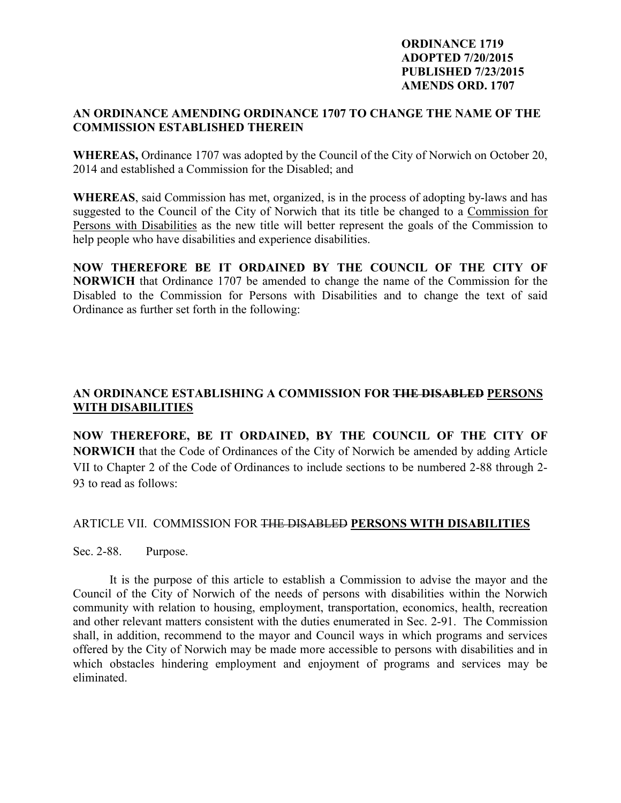## **ORDINANCE 1719 ADOPTED 7/20/2015 PUBLISHED 7/23/2015 AMENDS ORD. 1707**

## **AN ORDINANCE AMENDING ORDINANCE 1707 TO CHANGE THE NAME OF THE COMMISSION ESTABLISHED THEREIN**

**WHEREAS,** Ordinance 1707 was adopted by the Council of the City of Norwich on October 20, 2014 and established a Commission for the Disabled; and

**WHEREAS**, said Commission has met, organized, is in the process of adopting by-laws and has suggested to the Council of the City of Norwich that its title be changed to a Commission for Persons with Disabilities as the new title will better represent the goals of the Commission to help people who have disabilities and experience disabilities.

**NOW THEREFORE BE IT ORDAINED BY THE COUNCIL OF THE CITY OF NORWICH** that Ordinance 1707 be amended to change the name of the Commission for the Disabled to the Commission for Persons with Disabilities and to change the text of said Ordinance as further set forth in the following:

## **AN ORDINANCE ESTABLISHING A COMMISSION FOR THE DISABLED PERSONS WITH DISABILITIES**

**NOW THEREFORE, BE IT ORDAINED, BY THE COUNCIL OF THE CITY OF NORWICH** that the Code of Ordinances of the City of Norwich be amended by adding Article VII to Chapter 2 of the Code of Ordinances to include sections to be numbered 2-88 through 2- 93 to read as follows:

## ARTICLE VII. COMMISSION FOR THE DISABLED **PERSONS WITH DISABILITIES**

Sec. 2-88. Purpose.

 It is the purpose of this article to establish a Commission to advise the mayor and the Council of the City of Norwich of the needs of persons with disabilities within the Norwich community with relation to housing, employment, transportation, economics, health, recreation and other relevant matters consistent with the duties enumerated in Sec. 2-91. The Commission shall, in addition, recommend to the mayor and Council ways in which programs and services offered by the City of Norwich may be made more accessible to persons with disabilities and in which obstacles hindering employment and enjoyment of programs and services may be eliminated.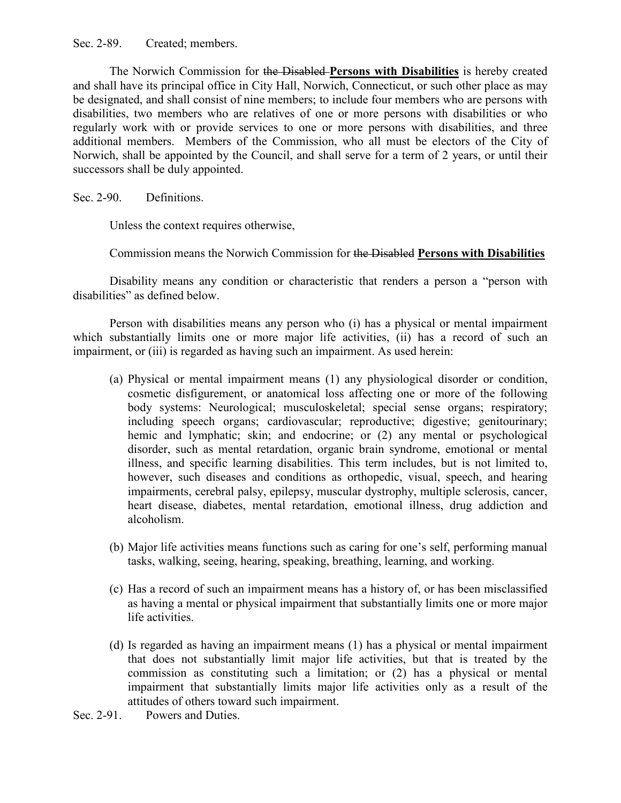Sec. 2-89. Created; members.

 The Norwich Commission for the Disabled **Persons with Disabilities** is hereby created and shall have its principal office in City Hall, Norwich, Connecticut, or such other place as may be designated, and shall consist of nine members; to include four members who are persons with disabilities, two members who are relatives of one or more persons with disabilities or who regularly work with or provide services to one or more persons with disabilities, and three additional members. Members of the Commission, who all must be electors of the City of Norwich, shall be appointed by the Council, and shall serve for a term of 2 years, or until their successors shall be duly appointed.

Sec. 2-90. Definitions.

Unless the context requires otherwise,

Commission means the Norwich Commission for the Disabled **Persons with Disabilities**

 Disability means any condition or characteristic that renders a person a "person with disabilities" as defined below.

 Person with disabilities means any person who (i) has a physical or mental impairment which substantially limits one or more major life activities, (ii) has a record of such an impairment, or (iii) is regarded as having such an impairment. As used herein:

- (a) Physical or mental impairment means (1) any physiological disorder or condition, cosmetic disfigurement, or anatomical loss affecting one or more of the following body systems: Neurological; musculoskeletal; special sense organs; respiratory; including speech organs; cardiovascular; reproductive; digestive; genitourinary; hemic and lymphatic; skin; and endocrine; or  $(2)$  any mental or psychological disorder, such as mental retardation, organic brain syndrome, emotional or mental illness, and specific learning disabilities. This term includes, but is not limited to, however, such diseases and conditions as orthopedic, visual, speech, and hearing impairments, cerebral palsy, epilepsy, muscular dystrophy, multiple sclerosis, cancer, heart disease, diabetes, mental retardation, emotional illness, drug addiction and alcoholism.
- (b) Major life activities means functions such as caring for one's self, performing manual tasks, walking, seeing, hearing, speaking, breathing, learning, and working.
- (c) Has a record of such an impairment means has a history of, or has been misclassified as having a mental or physical impairment that substantially limits one or more major life activities.
- (d) Is regarded as having an impairment means (1) has a physical or mental impairment that does not substantially limit major life activities, but that is treated by the commission as constituting such a limitation; or (2) has a physical or mental impairment that substantially limits major life activities only as a result of the attitudes of others toward such impairment.
- Sec. 2-91. Powers and Duties.